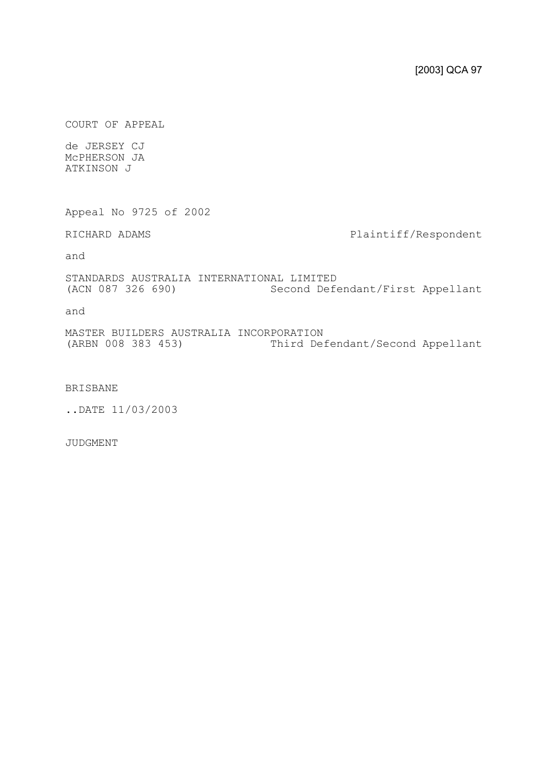COURT OF APPEAL

de JERSEY CJ McPHERSON JA ATKINSON J

Appeal No 9725 of 2002

RICHARD ADAMS **Plaintiff/Respondent** 

and

STANDARDS AUSTRALIA INTERNATIONAL LIMITED (ACN 087 326 690) Second Defendant/First Appellant

and

MASTER BUILDERS AUSTRALIA INCORPORATION<br>(ARBN 008 383 453) Third De: Third Defendant/Second Appellant

## BRISBANE

..DATE 11/03/2003

JUDGMENT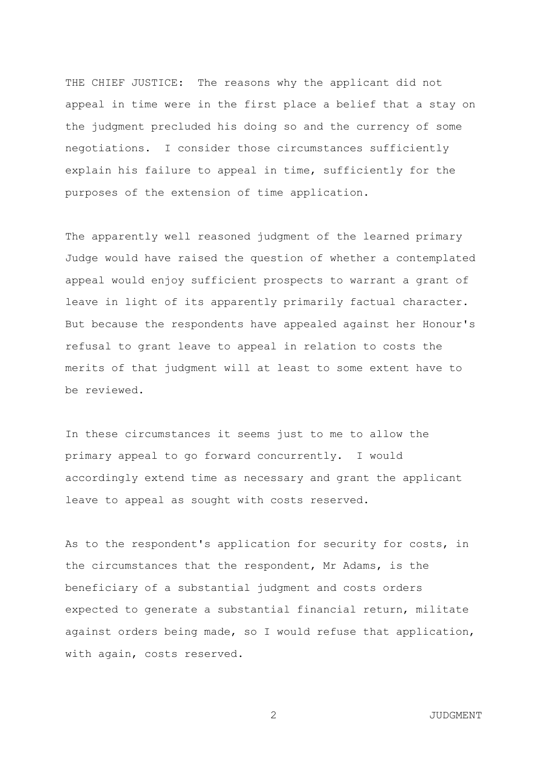THE CHIEF JUSTICE: The reasons why the applicant did not appeal in time were in the first place a belief that a stay on the judgment precluded his doing so and the currency of some negotiations. I consider those circumstances sufficiently explain his failure to appeal in time, sufficiently for the purposes of the extension of time application.

The apparently well reasoned judgment of the learned primary Judge would have raised the question of whether a contemplated appeal would enjoy sufficient prospects to warrant a grant of leave in light of its apparently primarily factual character. But because the respondents have appealed against her Honour's refusal to grant leave to appeal in relation to costs the merits of that judgment will at least to some extent have to be reviewed.

In these circumstances it seems just to me to allow the primary appeal to go forward concurrently. I would accordingly extend time as necessary and grant the applicant leave to appeal as sought with costs reserved.

As to the respondent's application for security for costs, in the circumstances that the respondent, Mr Adams, is the beneficiary of a substantial judgment and costs orders expected to generate a substantial financial return, militate against orders being made, so I would refuse that application, with again, costs reserved.

2 JUDGMENT